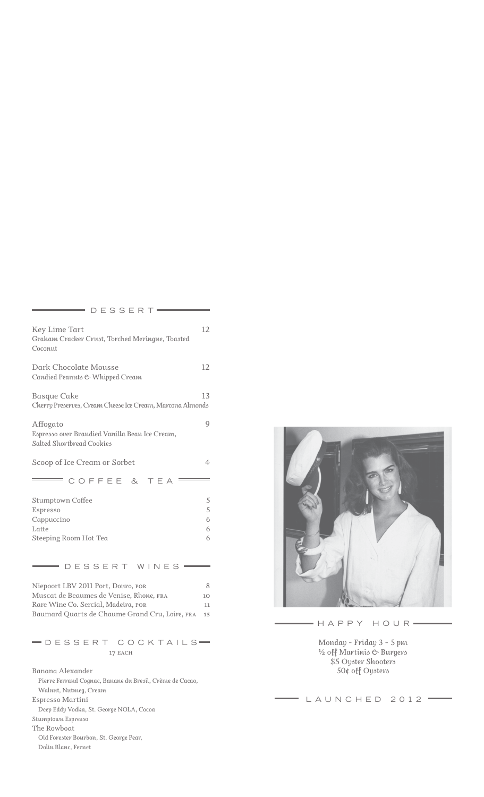| DESSERT-                                                                                                                                                               |                       |
|------------------------------------------------------------------------------------------------------------------------------------------------------------------------|-----------------------|
| Key Lime Tart<br>Graham Cracker Crust, Torched Meringue, Toasted<br>Coconut                                                                                            | 12                    |
| Dark Chocolate Mousse<br>Candied Peanuts & Whipped Cream                                                                                                               | 12                    |
| <b>Basque Cake</b><br>Cherry Preserves, Cream Cheese Ice Cream, Marcona Almonds                                                                                        | 13                    |
| Affogato<br>Espresso over Brandied Vanilla Bean Ice Cream,<br>Salted Shortbread Cookies                                                                                | 9                     |
| Scoop of Ice Cream or Sorbet                                                                                                                                           | 4                     |
| COFFEE & TEA                                                                                                                                                           |                       |
| <b>Stumptown Coffee</b><br>Espresso<br>Cappuccino<br>Latte<br>Steeping Room Hot Tea                                                                                    | 5<br>5<br>6<br>6<br>6 |
| DESSERT WINES                                                                                                                                                          |                       |
| Niepoort LBV 2011 Port, Douro, POR<br>Muscat de Beaumes de Venise, Rhone, FRA<br>Rare Wine Co. Sercial, Madeira, POR<br>Baumard Quarts de Chaume Grand Cru, Loire, FRA | 8<br>10<br>11<br>15   |
| -DESSERT COCKTAILS<br>17 EACH                                                                                                                                          |                       |
| Banana Alexander<br>Pierre Ferrand Cognac, Banane du Bresil, Crème de Cacao,<br>Walnut, Nutmeg, Cream<br>Espresso Martini                                              |                       |

*Deep Eddy Vodka, St. George NOLA, Cocoa* 

*Stumptown Espresso*

*The Rowboat*

*Old Forester Bourbon, St. George Pear, Dolin Blanc, Fernet*

 $=$  HAPPY HOUR=

*Monday - Friday 3 - 5 pm ½ off Martinis & Burgers \$5 Oyster Shooters 50¢ off Oysters*

LAUNCHED 2012 =  $=$